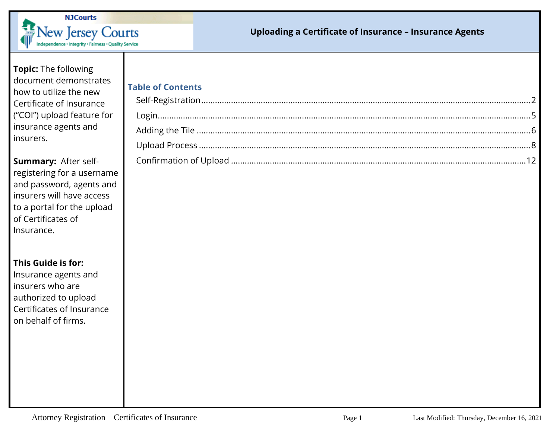

#### **Uploading a Certificate of Insurance – Insurance Agents**

**Topic:** The following document demonstrates how to utilize the new Certificate of Insurance ("COI") upload feature for insurance agents and insurers.

**Summary:** After selfregistering for a username and password, agents and insurers will have access to a portal for the upload of Certificates of Insurance.

**This Guide is for:**

Insurance agents and insurers who are authorized to upload Certificates of Insurance on behalf of firms.

# **Table of Contents**

| TUDIC OF CONCENTS |  |
|-------------------|--|
|                   |  |
|                   |  |
|                   |  |
|                   |  |
|                   |  |
|                   |  |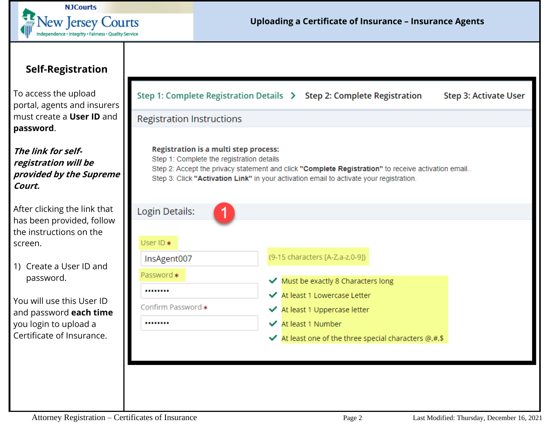

### <span id="page-1-0"></span>**Self-Registration**

To access the upload portal, agents and insurers must create a **User ID** and **password**.

**The link for selfregistration will be provided by the Supreme Court.** 

After clicking the link that has been provided, follow the instructions on the screen.

1) Create a User ID and password.

You will use this User ID and password **each time** you login to upload a Certificate of Insurance.

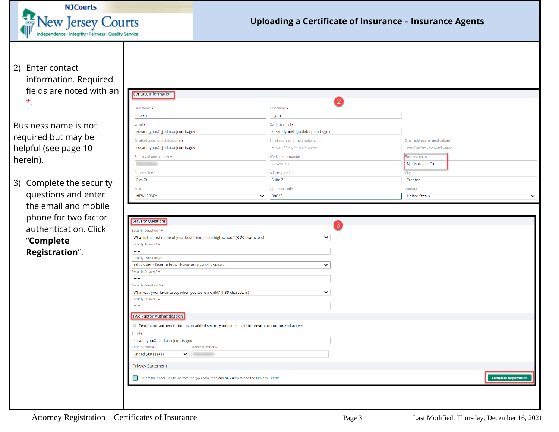

2) Enter contact information. Required fields are noted with an \*.

Business name is not required but may be helpful (see page 10 herein).

3) Complete the security questions and enter the email and mobile phone for two factor authentication. Click "**Complete Registration**".

| Contact Information                                                                                                                                                                                                                                                                                                           |              |                                   |                                 |
|-------------------------------------------------------------------------------------------------------------------------------------------------------------------------------------------------------------------------------------------------------------------------------------------------------------------------------|--------------|-----------------------------------|---------------------------------|
|                                                                                                                                                                                                                                                                                                                               |              | $\boldsymbol{2}$                  |                                 |
| First Name*                                                                                                                                                                                                                                                                                                                   |              | Last Name *                       |                                 |
| Susan                                                                                                                                                                                                                                                                                                                         |              | Flynn                             |                                 |
| Email*                                                                                                                                                                                                                                                                                                                        |              | Confirm email *                   |                                 |
| susan.flynn@njjudlab.njcourts.gov                                                                                                                                                                                                                                                                                             |              | susan.flynn@njjudlab.njcourts.gov |                                 |
| Email address for notifications: *<br>Email address for notifications:                                                                                                                                                                                                                                                        |              | Email address for notifications:  |                                 |
| susan.flynn@njjudlab.njcourts.gov                                                                                                                                                                                                                                                                                             |              | Email address for notifications   | Email address for notifications |
| Primary phone number *                                                                                                                                                                                                                                                                                                        |              | Work phone number                 | <b>Business name</b>            |
|                                                                                                                                                                                                                                                                                                                               |              | 1234567890                        | NJ Insurance Co                 |
| Address line 1                                                                                                                                                                                                                                                                                                                |              | Address line 2                    |                                 |
| Elm Ct                                                                                                                                                                                                                                                                                                                        |              | Suite 2                           | City<br>Trenton                 |
|                                                                                                                                                                                                                                                                                                                               |              |                                   |                                 |
| State                                                                                                                                                                                                                                                                                                                         |              | Zip/Postal code                   | Country                         |
| <b>NEW JERSEY</b>                                                                                                                                                                                                                                                                                                             | $\checkmark$ | 08625                             | <b>United States</b>            |
| What is the first name of your best friend from high school? (3-20 characters)                                                                                                                                                                                                                                                |              | $\overline{3}$<br>$\check{~}$     |                                 |
|                                                                                                                                                                                                                                                                                                                               |              |                                   |                                 |
| $\cdots$                                                                                                                                                                                                                                                                                                                      |              |                                   |                                 |
|                                                                                                                                                                                                                                                                                                                               |              |                                   |                                 |
| Who is your favorite book character? (5-20 characters)                                                                                                                                                                                                                                                                        |              | $\check{~}$                       |                                 |
|                                                                                                                                                                                                                                                                                                                               |              |                                   |                                 |
| $\cdots$                                                                                                                                                                                                                                                                                                                      |              |                                   |                                 |
|                                                                                                                                                                                                                                                                                                                               |              |                                   |                                 |
| What was your favorite toy when you were a child? (1-99 characters)                                                                                                                                                                                                                                                           |              | $\checkmark$                      |                                 |
| $\cdots$                                                                                                                                                                                                                                                                                                                      |              |                                   |                                 |
|                                                                                                                                                                                                                                                                                                                               |              |                                   |                                 |
|                                                                                                                                                                                                                                                                                                                               |              |                                   |                                 |
| <b>ID</b> Two-factor authentication is an added security measure used to prevent unauthorized access.                                                                                                                                                                                                                         |              |                                   |                                 |
|                                                                                                                                                                                                                                                                                                                               |              |                                   |                                 |
| susan.flynn@njjudlab.njcourts.gov                                                                                                                                                                                                                                                                                             |              |                                   |                                 |
| Mobile number *<br>United States (+1)<br>$\checkmark$                                                                                                                                                                                                                                                                         |              |                                   |                                 |
| <b>Privacy Statement</b>                                                                                                                                                                                                                                                                                                      |              |                                   |                                 |
| <b>Security Questions</b><br>Security Question 1 *<br>Security Answer1 *<br>Security Question 2*<br>Security Answer2 *<br>Security Question 3 *<br>Security Answer3 *<br>Two Factor Authentication<br>Email *<br>Country code *<br>Select the Check Box to indicate that you have read and fully understood the Privacy Terms |              |                                   | <b>Complete Registration</b>    |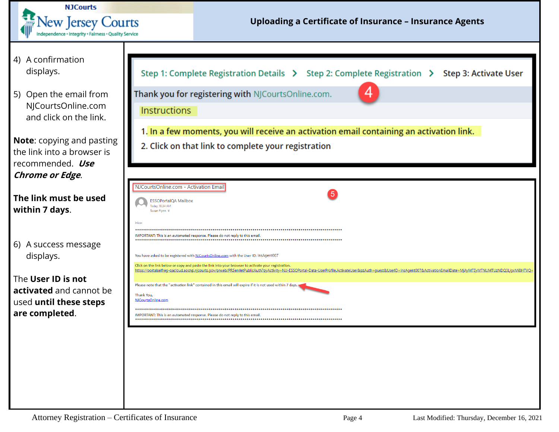

| 4) A confirmation |
|-------------------|
| displays.         |

5) Open the email from NJCourtsOnline.com and click on the link.

**Note**: copying and pasting the link into a browser is recommended. **Use Chrome or Edge**.

| The link must be used |  |  |
|-----------------------|--|--|
| within 7 days.        |  |  |

6) A success message displays.

The **User ID is not activated** and cannot be used **until these steps are completed**.

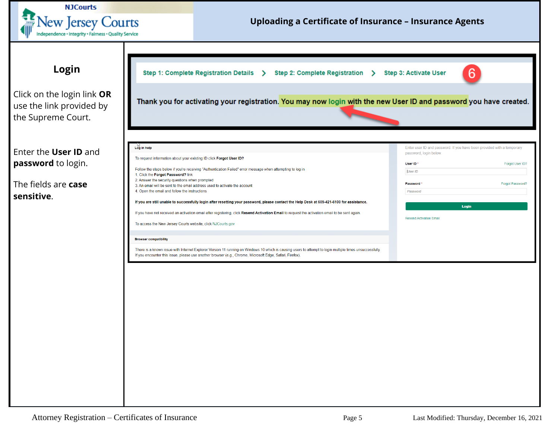<span id="page-4-0"></span>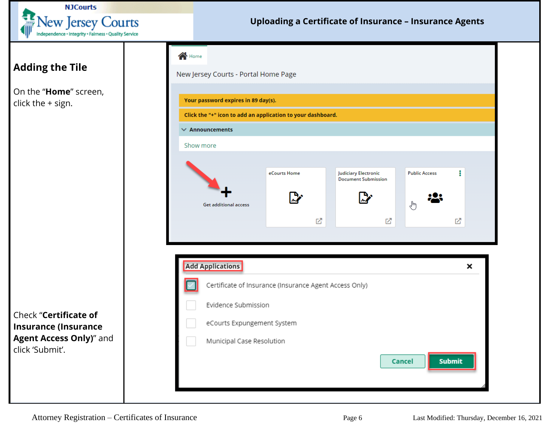

### **Uploading a Certificate of Insurance – Insurance Agents**

## <span id="page-5-0"></span>**Adding the Tile**

On the "**Home**" screen, click the + sign.



Check "**Certificate of Insurance (Insurance Agent Access Only)**" and click 'Submit'.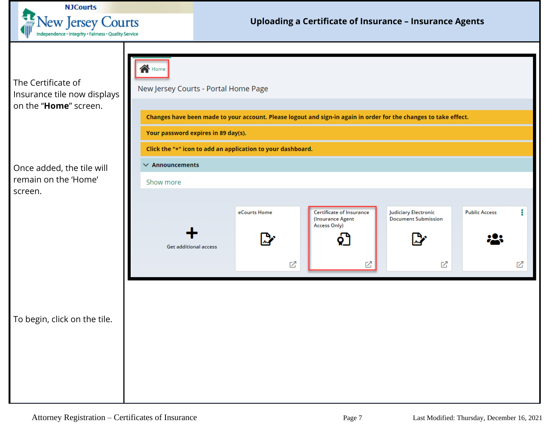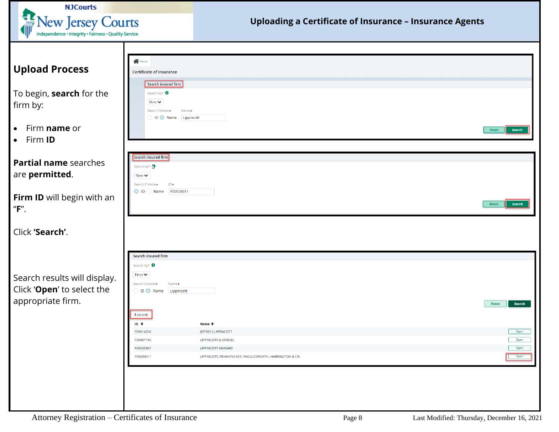<span id="page-7-0"></span>

| <b>NJCourts</b>                                       |                                            |                                                                |        |
|-------------------------------------------------------|--------------------------------------------|----------------------------------------------------------------|--------|
| $\frac{1}{2}$ New Jersey Courts                       |                                            | <b>Uploading a Certificate of Insurance - Insurance Agents</b> |        |
| Independence · Integrity · Fairness · Quality Service |                                            |                                                                |        |
|                                                       |                                            |                                                                |        |
|                                                       |                                            |                                                                |        |
| <b>Upload Process</b>                                 | $\bigwedge$ Home                           |                                                                |        |
|                                                       | <b>Certificate of Insurance</b>            |                                                                |        |
|                                                       | <b>Search insured firm</b>                 |                                                                |        |
| To begin, search for the                              | Search by* <b>O</b>                        |                                                                |        |
| firm by:                                              | Firm $\vee$<br>Search Criteria*<br>Name*   |                                                                |        |
|                                                       | D    Name    Lippincott                    |                                                                |        |
| Firm name or<br>$\bullet$                             |                                            | Reset                                                          | Search |
| Firm ID<br>$\bullet$                                  |                                            |                                                                |        |
|                                                       |                                            |                                                                |        |
|                                                       | Search insured firm                        |                                                                |        |
| Partial name searches                                 | Search by*                                 |                                                                |        |
| are permitted.                                        | Firm $\vee$                                |                                                                |        |
|                                                       | $ID*$<br>Search Criteria*                  |                                                                |        |
| Firm ID will begin with an                            |                                            |                                                                |        |
| "F".                                                  |                                            | Reset                                                          | Search |
|                                                       |                                            |                                                                |        |
| Click 'Search'.                                       |                                            |                                                                |        |
|                                                       |                                            |                                                                |        |
|                                                       |                                            |                                                                |        |
|                                                       | Search insured firm                        |                                                                |        |
|                                                       | Search by* $\bigcirc$                      |                                                                |        |
| Search results will display.                          | Firm $\vee$<br>Search Criteria*<br>Name*   |                                                                |        |
| Click 'Open' to select the                            | ID Name Lippincott                         |                                                                |        |
| appropriate firm.                                     |                                            | Reset                                                          | Search |
|                                                       |                                            |                                                                |        |
|                                                       | 4 records<br>$ID \div$<br>Name $\triangle$ |                                                                |        |
|                                                       | F00014258<br>JEFFREY J LIPPINCOTT          |                                                                | Open   |
|                                                       | LIPPINCOTT & KRIEGEL<br>F00007156          |                                                                | Open   |
|                                                       | F00020397<br>LIPPINCOTT KINNARD            |                                                                | Open   |
|                                                       | F00030011                                  | LIPPINCOTT, PENNYPACKER, WIGGLESWORTH, HARRINGTON & CRI        | Open   |
|                                                       |                                            |                                                                |        |
|                                                       |                                            |                                                                |        |
|                                                       |                                            |                                                                |        |
|                                                       |                                            |                                                                |        |
|                                                       |                                            |                                                                |        |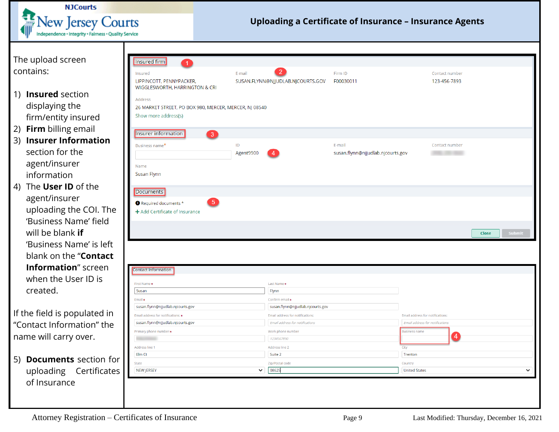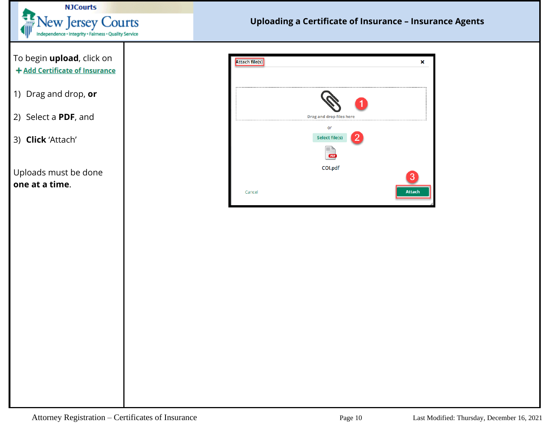

| To begin upload, click on<br>+ Add Certificate of Insurance | <b>Attach file(s)</b><br>×                        |
|-------------------------------------------------------------|---------------------------------------------------|
| 1) Drag and drop, or                                        |                                                   |
| 2) Select a PDF, and                                        | <b>Drag and drop files here</b><br>or             |
| 3) Click 'Attach'                                           | Select file(s)<br>2<br><b>PDF</b>                 |
| Uploads must be done<br>one at a time.                      | COI.pdf<br>$\boxed{3}$<br><b>Attach</b><br>Cancel |
|                                                             |                                                   |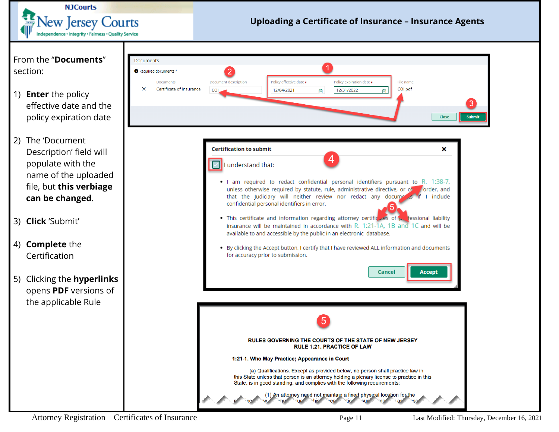

Attorney Registration – Certificates of Insurance Page 11 Last Modified: Thursday, December 16, 2021